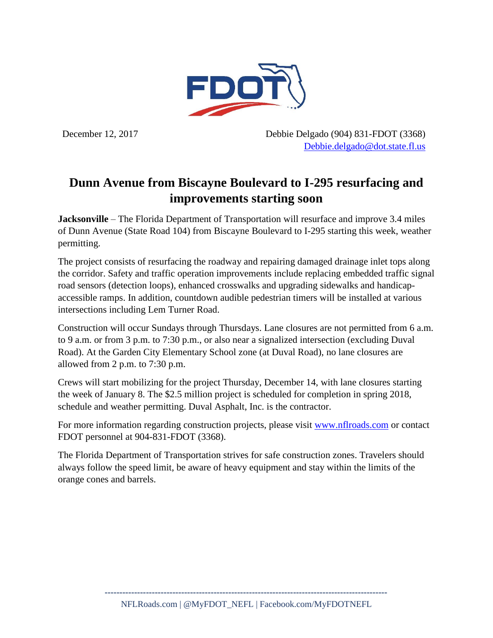

December 12, 2017 Debbie Delgado (904) 831-FDOT (3368) [Debbie.delgado@dot.state.fl.us](mailto:Debbie.delgado@dot.state.fl.us)

## **Dunn Avenue from Biscayne Boulevard to I-295 resurfacing and improvements starting soon**

**Jacksonville** *–* The Florida Department of Transportation will resurface and improve 3.4 miles of Dunn Avenue (State Road 104) from Biscayne Boulevard to I-295 starting this week, weather permitting.

The project consists of resurfacing the roadway and repairing damaged drainage inlet tops along the corridor. Safety and traffic operation improvements include replacing embedded traffic signal road sensors (detection loops), enhanced crosswalks and upgrading sidewalks and handicapaccessible ramps. In addition, countdown audible pedestrian timers will be installed at various intersections including Lem Turner Road.

Construction will occur Sundays through Thursdays. Lane closures are not permitted from 6 a.m. to 9 a.m. or from 3 p.m. to 7:30 p.m., or also near a signalized intersection (excluding Duval Road). At the Garden City Elementary School zone (at Duval Road), no lane closures are allowed from 2 p.m. to 7:30 p.m.

Crews will start mobilizing for the project Thursday, December 14, with lane closures starting the week of January 8. The \$2.5 million project is scheduled for completion in spring 2018, schedule and weather permitting. Duval Asphalt, Inc. is the contractor.

For more information regarding construction projects, please visit [www.nflroads.com](https://urldefense.proofpoint.com/v2/url?u=http-3A__www.nflroads.com&d=DwMFAg&c=cUkzcZGZt-E3UgRE832-4A&r=qCgYQT5EJLVRkmChcaeSezu25Jbfi7pnMld3P-W7IAg&m=cY232NxHTvInuomeGLXSsU3fBLR2rtdueWc-SeIlfHU&s=sNO2s8zd82xWakd29rnIMyPGN1tls-b_f-Bnl9rOEqk&e=) or contact FDOT personnel at 904-831-FDOT (3368).

The Florida Department of Transportation strives for safe construction zones. Travelers should always follow the speed limit, be aware of heavy equipment and stay within the limits of the orange cones and barrels.

**------------------------------------------------------------------------------------------------**

NFLRoads.com | @MyFDOT\_NEFL | Facebook.com/MyFDOTNEFL